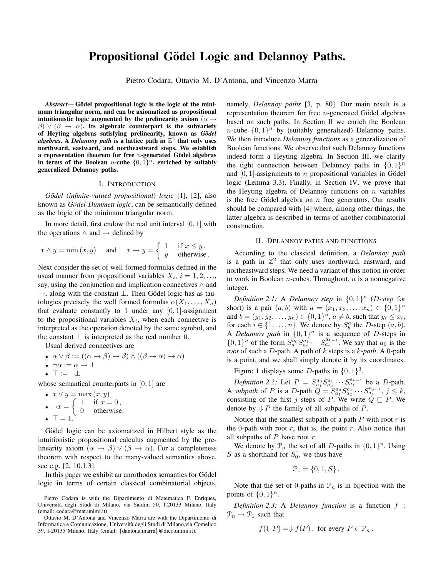# **Propositional Gödel Logic and Delannoy Paths.**

Pietro Codara, Ottavio M. D'Antona, and Vincenzo Marra

*Abstract***— Godel propositional logic is the logic of the mini- ¨ mum triangular norm, and can be axiomatized as propositional intuitionistic logic augmented by the prelinearity axiom** ( $\alpha \rightarrow$  $\beta$ )  $\vee$  ( $\beta \rightarrow \alpha$ ). Its algebraic counterpart is the subvariety **of Heyting algebras satisfying prelinearity, known as** *G¨odel algebras***.** A *Delannoy path* is a lattice path in  $\mathbb{Z}^2$  that only uses **northward, eastward, and northeastward steps. We establish a representation theorem for free** n**-generated Godel algebras ¨** in terms of the Boolean *n*-cube  $\{0,1\}^n$ , enriched by suitably **generalized Delannoy paths.**

# I. INTRODUCTION

*Gödel* (*infinite-valued propositional*) *logic* [1], [2], also known as *Gödel-Dummett logic*, can be semantically defined as the logic of the minimum triangular norm.

In more detail, first endow the real unit interval  $[0, 1]$  with the operations  $\land$  and  $\rightarrow$  defined by

$$
x \wedge y = \min(x, y)
$$
 and  $x \to y = \begin{cases} 1 & \text{if } x \leq y, \\ y & \text{otherwise.} \end{cases}$ 

Next consider the set of well formed formulas defined in the usual manner from propositional variables  $X_i$ ,  $i = 1, 2, \ldots$ , say, using the conjunction and implication connectives  $\wedge$  and  $\rightarrow$ , along with the constant  $\perp$ . Then Gödel logic has as tautologies precisely the well formed formulas  $\alpha(X_1,\ldots,X_n)$ that evaluate constantly to 1 under any  $[0, 1]$ -assignment to the propositional variables  $X_i$ , when each connective is interpreted as the operation denoted by the same symbol, and the constant  $\perp$  is interpreted as the real number 0.

Usual derived connectives are

\n- $$
\alpha \vee \beta := ((\alpha \rightarrow \beta) \rightarrow \beta) \wedge ((\beta \rightarrow \alpha) \rightarrow \alpha)
$$
\n- $\neg \alpha := \alpha \rightarrow \bot$
\n- $\top := \neg \bot$
\n

whose semantical counterparts in [0, 1] are<br>
•  $x \lor y = \max(x, y)$ 

•  $x \vee y = \max(x, y)$ <br>  $\begin{cases} 1 & \text{if } x = 1 \end{cases}$ •  $\neg x = \begin{cases} 1 & \text{if } x = 0, \\ 0 & \text{otherwise.} \end{cases}$  $\bullet \ \top = 1.$ 

Gödel logic can be axiomatized in Hilbert style as the intuitionistic propositional calculus augmented by the prelinearity axiom  $(\alpha \rightarrow \beta) \vee (\beta \rightarrow \alpha)$ . For a completeness theorem with respect to the many-valued semantics above, see e.g. [2, 10.1.3].

In this paper we exhibit an unorthodox semantics for Gödel logic in terms of certain classical combinatorial objects,

namely, *Delannoy paths* [3, p. 80]. Our main result is a representation theorem for free  $n$ -generated Gödel algebras based on such paths. In Section II we enrich the Boolean *n*-cube  $\{0, 1\}^n$  by (suitably generalized) Delannoy paths. We then introduce *Delannoy functions* as a generalization of Boolean functions. We observe that such Delannoy functions indeed form a Heyting algebra. In Section III, we clarify the tight connection between Delannoy paths in  $\{0, 1\}^n$ and  $[0, 1]$ -assignments to *n* propositional variables in Gödel logic (Lemma 3.3). Finally, in Section IV, we prove that the Heyting algebra of Delannoy functions on  $n$  variables is the free Gödel algebra on  $n$  free generators. Our results should be compared with [4] where, among other things, the latter algebra is described in terms of another combinatorial construction.

#### II. DELANNOY PATHS AND FUNCTIONS

According to the classical definition, a *Delannoy path* is a path in  $\mathbb{Z}^2$  that only uses northward, eastward, and northeastward steps. We need a variant of this notion in order to work in Boolean  $n$ -cubes. Throughout,  $n$  is a nonnegative integer.

*Definition 2.1:* A *Delannoy step* in  $\{0, 1\}^n$  (*D-step* for short) is a pair  $(a, b)$  with  $a = (x_1, x_2, ..., x_n) \in \{0, 1\}^n$ and  $b = (y_1, y_2, \dots, y_n) \in \{0, 1\}^n$ ,  $a \neq b$ , such that  $y_i \leq x_i$ , for each  $i \in \{1, ..., n\}$ . We denote by  $S_b^a$  the D-step  $(a, b)$ .<br>A *Delannov path* in  $\{0, 1\}$ <sup>n</sup> is a sequence of D-steps in A *Delannoy path* in  $\{0,1\}^n$  is a sequence of *D*-steps in  $\{0,1\}^n$  of the form  $S^{a_0}S^{a_1} \dots S^{a_{k-1}}$  We say that  $a_0$  is the  $\{0, 1\}^n$  of the form  $S_{a_1}^{a_0} S_{a_1}^{a_1} \cdots S_{a_k}^{a_{k-1}}$ . We say that  $a_0$  is the mot of such a D-path A path of k steps is a k-path A 0-path *root* of such a D-path. A path of k steps is a k*-path*. A <sup>0</sup>-path is a point, and we shall simply denote it by its coordinates.

Figure 1 displays some D-paths in  $\{0, 1\}^3$ .

*Definition 2.2:* Let  $P = S_{a_1}^{a_0} S_{a_1}^{a_1} \cdots S_{a_k}^{a_{k-1}}$  be a *D*-path.<br>subpath of *P* is a *D*-path  $Q = S_{a_0}^{a_0} S_{a_1}^{a_1} \cdots S_{a_{j-1}}^{a_{j-1}}$   $i < k$ A *subpath* of P is a D-path  $Q = S_{a_0}^{a_0} S_{a_1}^{a_1} \cdots S_{a_j}^{a_j-1}$ ,  $j \leq k$ , consisting of the first *i* steps of P We write  $Q \sqsubset P$  We consisting of the first j steps of P. We write  $Q \sqsubseteq P$ . We denote by  $\downarrow$  P the family of all subpaths of P.

Notice that the smallest subpath of a path  $P$  with root  $r$  is the 0-path with root  $r$ , that is, the point  $r$ . Also notice that all subpaths of  $P$  have root  $r$ .

We denote by  $\mathcal{P}_n$  the set of all D-paths in  $\{0, 1\}^n$ . Using S as a shorthand for  $S_0^1$ , we thus have

$$
\mathcal{P}_1 = \{0, 1, S\}.
$$

Note that the set of 0-paths in  $\mathcal{P}_n$  is in bijection with the points of  $\{0,1\}^n$ .

*Definition 2.3:* <sup>A</sup> *Delannoy function* is a function f :  $\mathcal{P}_n \to \mathcal{P}_1$  such that

$$
f(\Downarrow P) = \Downarrow f(P)
$$
, for every  $P \in \mathcal{P}_n$ .

Pietro Codara is with the Dipartimento di Matematica F. Enriques, Universit`a degli Studi di Milano, via Saldini 50, I-20133 Milano, Italy (email: codara@mat.unimi.it).

Ottavio M. D'Antona and Vincenzo Marra are with the Dipartimento di Informatica e Comunicazione, Università degli Studi di Milano,via Comelico 39, I-20135 Milano, Italy (email: {dantona,marra}@dico.unimi.it).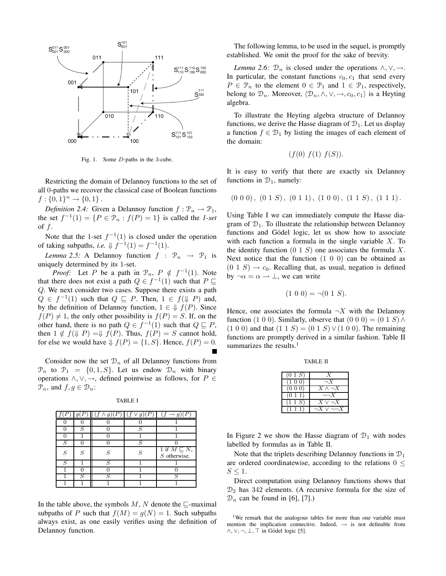

Fig. 1. Some D-paths in the <sup>3</sup>-cube.

Restricting the domain of Delannoy functions to the set of all 0-paths we recover the classical case of Boolean functions  $f: \{0,1\}^n \to \{0,1\}$ .

*Definition 2.4:* Given a Delannoy function  $f : \mathcal{P}_n \to \mathcal{P}_1$ , the set  $f^{-1}(1) = \{ P \in \mathcal{P}_n : f(P) = 1 \}$  is called the *1-set* of  $f$ .

Note that the 1-set  $f^{-1}(1)$  is closed under the operation of taking subpaths, *i.e.*  $\Downarrow f^{-1}(1) = f^{-1}(1)$ .

*Lemma 2.5:* A Delannoy function  $f : \mathcal{P}_n \to \mathcal{P}_1$  is uniquely determined by its 1-set.

*Proof:* Let P be a path in  $\mathcal{P}_n$ ,  $P \notin f^{-1}(1)$ . Note that there does not exist a path  $Q \in f^{-1}(1)$  such that  $P \sqsubseteq$ Q. We next consider two cases. Suppose there exists a path  $Q \in f^{-1}(1)$  such that  $Q \subseteq P$ . Then,  $1 \in f(\downarrow P)$  and, by the definition of Delannoy function,  $1 \in \mathcal{H}(P)$ . Since  $f(P) \neq 1$ , the only other possibility is  $f(P) = S$ . If, on the other hand, there is no path  $Q \in f^{-1}(1)$  such that  $Q \sqsubset P$ , then  $1 \notin f(\mathcal{L} | P) = \mathcal{L} f(P)$ . Thus,  $f(P) = S$  cannot hold, for else we would have  $\mathcal{H}(P) = \{1, S\}$ . Hence,  $f(P) = 0$ .

Consider now the set  $\mathcal{D}_n$  of all Delannoy functions from  $\mathcal{P}_n$  to  $\mathcal{P}_1 = \{0, 1, S\}$ . Let us endow  $\mathcal{D}_n$  with binary operations  $\land$ ,  $\lor$ ,  $\rightarrow$ , defined pointwise as follows, for  $P \in$  $\mathcal{P}_n$ , and  $f,g \in \mathcal{D}_n$ :

TABLE I

|   |   | q | q |                                            |
|---|---|---|---|--------------------------------------------|
|   |   |   |   |                                            |
|   | S |   | c |                                            |
|   |   |   |   |                                            |
| S |   |   |   |                                            |
| S | S | S | S | 1 if $M \sqsubseteq N$ ,<br>$S$ otherwise. |
| c |   |   |   |                                            |
|   |   |   |   |                                            |
|   | c |   |   |                                            |
|   |   |   |   |                                            |

In the table above, the symbols  $M$ , N denote the  $\sqsubseteq$ -maximal subpaths of P such that  $f(M) = g(N) = 1$ . Such subpaths always exist, as one easily verifies using the definition of Delannoy function.

The following lemma, to be used in the sequel, is promptly established. We omit the proof for the sake of brevity.

*Lemma 2.6:*  $\mathcal{D}_n$  is closed under the operations  $\wedge, \vee, \rightarrow$ . In particular, the constant functions  $c_0, c_1$  that send every  $P \in \mathcal{P}_n$  to the element  $0 \in \mathcal{P}_1$  and  $1 \in \mathcal{P}_1$ , respectively, belong to  $\mathcal{D}_n$ . Moreover,  $\langle \mathcal{D}_n, \wedge, \vee, \to, c_0, c_1 \rangle$  is a Heyting algebra.

To illustrate the Heyting algebra structure of Delannoy functions, we derive the Hasse diagram of  $\mathcal{D}_1$ . Let us display a function  $f \in \mathcal{D}_1$  by listing the images of each element of the domain:

(f(0) f(1) f(S)).

It is easy to verify that there are exactly six Delannoy functions in  $\mathcal{D}_1$ , namely:

$$
(0\;0\;0),\;(0\;1\;S),\;(0\;1\;1),\;(1\;0\;0),\;(1\;1\;S),\;(1\;1\;1).
$$

Using Table I we can immediately compute the Hasse diagram of  $\mathcal{D}_1$ . To illustrate the relationship between Delannoy functions and Gödel logic, let us show how to associate with each function a formula in the single variable  $X$ . To the identity function  $(0 1 S)$  one associates the formula X. Next notice that the function  $(1\ 0\ 0)$  can be obtained as  $(0\ 1\ S) \rightarrow c_0$ . Recalling that, as usual, negation is defined by  $\neg \alpha = \alpha \rightarrow \bot$ , we can write

$$
(1\ 0\ 0) = \neg(0\ 1\ S).
$$

Hence, one associates the formula  $\neg X$  with the Delannoy function (1 0 0). Similarly, observe that  $(0\ 0\ 0) = (0\ 1\ S) \wedge$  $(1\ 0\ 0)$  and that  $(1\ 1\ S) = (0\ 1\ S) \vee (1\ 0\ 0)$ . The remaining functions are promptly derived in a similar fashion. Table II summarizes the results. $<sup>1</sup>$ </sup>

| $X \wedge \neg X$ |
|-------------------|
| $\neg\neg X$      |
| $X \vee \neg X$   |
| $\vee \neg\neg X$ |
|                   |

In Figure 2 we show the Hasse diagram of  $\mathcal{D}_1$  with nodes labelled by formulas as in Table II.

Note that the triplets describing Delannoy functions in  $\mathcal{D}_1$ are ordered coordinatewise, according to the relations  $0 \leq$  $S \leq 1$ .

Direct computation using Delannoy functions shows that  $\mathcal{D}_2$  has 342 elements. (A recursive formula for the size of  $\mathcal{D}_n$  can be found in [6], [7].)

<sup>&</sup>lt;sup>1</sup>We remark that the analogous tables for more than one variable must mention the implication connective. Indeed,  $\rightarrow$  is not definable from  $\land, \lor, \neg, \bot, \top$  in Gödel logic [5].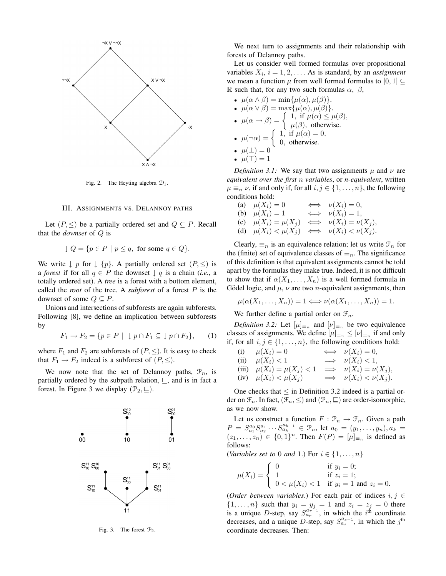

Fig. 2. The Heyting algebra  $\mathcal{D}_1$ .

## III. ASSIGNMENTS VS. DELANNOY PATHS

Let  $(P, \leq)$  be a partially ordered set and  $Q \subseteq P$ . Recall that the *downset* of Q is

$$
\downarrow Q = \{ p \in P \mid p \le q, \text{ for some } q \in Q \}.
$$

We write  $\downarrow p$  for  $\downarrow \{p\}$ . A partially ordered set  $(P, \leq)$  is a *forest* if for all  $q \in P$  the downset  $\downarrow q$  is a chain (*i.e.*, a totally ordered set). A *tree* is a forest with a bottom element, called the *root* of the tree. A *subforest* of a forest P is the downset of some  $Q \subseteq P$ .

Unions and intersections of subforests are again subforests. Following [8], we define an implication between subforests by

$$
F_1 \to F_2 = \{ p \in P \mid \downarrow p \cap F_1 \subseteq \downarrow p \cap F_2 \}, \qquad (1)
$$

where  $F_1$  and  $F_2$  are subforests of  $(P, \le)$ . It is easy to check that  $F_1 \rightarrow F_2$  indeed is a subforest of  $(P, \leq)$ .

We now note that the set of Delannoy paths,  $\mathcal{P}_n$ , is partially ordered by the subpath relation,  $\sqsubseteq$ , and is in fact a forest. In Figure 3 we display  $(\mathcal{P}_2, \sqsubseteq)$ .



Fig. 3. The forest  $\mathcal{P}_2$ .

We next turn to assignments and their relationship with forests of Delannoy paths.

Let us consider well formed formulas over propositional variables  $X_i$ ,  $i = 1, 2, \ldots$ . As is standard, by an *assignment* we mean a function  $\mu$  from well formed formulas to [0, 1]  $\subset$ R such that, for any two such formulas  $\alpha$ ,  $\beta$ ,

- 
- $\mu(\alpha \wedge \beta) = \min{\mu(\alpha), \mu(\beta)}$ .<br>•  $\mu(\alpha \vee \beta) = \max{\mu(\alpha), \mu(\beta)}$ . •  $\mu(\alpha \vee \beta) = \max{\mu(\alpha), \mu(\beta)}.$ <br>( 1 if  $\mu(\alpha) \leq \beta$
- $\mu(\alpha \to \beta) = \begin{cases} 1, & \text{if } \mu(\alpha) \leq \mu(\beta), \\ \mu(\beta), & \text{otherwise.} \end{cases}$
- $\mu(\neg \alpha) = \begin{cases} 1, & \text{if } \mu(\alpha) = 0, \\ 0, & \text{otherwise.} \end{cases}$
- 
- $\mu(\perp)=0$
- $\mu(\top)=1$

*Definition 3.1:* We say that two assignments  $\mu$  and  $\nu$  are *equivalent over the first* n *variables*, or *n-equivalent*, written  $\mu \equiv_n \nu$ , if and only if, for all  $i, j \in \{1, \ldots, n\}$ , the following conditions hold:

(a)  $\mu(X_i) = 0 \iff \nu(X_i) = 0,$ <br>(b)  $\mu(X_i) = 1 \iff \nu(X_i) = 1$ (b)  $\mu(X_i) = 1 \iff \nu(X_i) = 1,$ <br>(c)  $\mu(X_i) = \mu(X_i) \iff \mu(X_i) = \nu(X_i)$ (c)  $\mu(X_i) = \mu(X_j) \iff \nu(X_i) = \nu(X_j),$ <br>(d)  $\mu(X_i) \le \mu(X_j) \iff \nu(X_i) \le \nu(X_j)$ (d)  $\mu(X_i) < \mu(X_j) \iff \nu(X_i) < \nu(X_j)$ .

Clearly,  $\equiv_n$  is an equivalence relation; let us write  $\mathcal{F}_n$  for the (finite) set of equivalence classes of  $\equiv_n$ . The significance of this definition is that equivalent assignments cannot be told apart by the formulas they make true. Indeed, it is not difficult to show that if  $\alpha(X_1,\ldots,X_n)$  is a well formed formula in Gödel logic, and  $\mu$ ,  $\nu$  are two *n*-equivalent assignments, then

$$
\mu(\alpha(X_1,\ldots,X_n))=1\Longleftrightarrow \nu(\alpha(X_1,\ldots,X_n))=1.
$$

We further define a partial order on  $\mathcal{F}_n$ .

*Definition 3.2:* Let  $[\mu]_{\equiv n}$  and  $[\nu]_{\equiv n}$  be two equivalence classes of assignments. We define  $[\mu]_{\equiv_n} \leq [\nu]_{\equiv_n}$  if and only if, for all  $i, j \in \{1, \ldots, n\}$ , the following conditions hold:

(i) 
$$
\mu(X_i) = 0
$$
  $\iff$   $\nu(X_i) = 0$ ,  
\n(ii)  $\mu(X_i) < 1$   $\implies$   $\nu(X_i) < 1$ ,  
\n(iii)  $\mu(X_i) = \mu(X_j) < 1$   $\implies$   $\nu(X_i) = \nu(X_j)$ ,  
\n(iv)  $\mu(X_i) < \mu(X_j)$   $\implies$   $\nu(X_i) < \nu(X_j)$ .

One checks that  $\leq$  in Definition 3.2 indeed is a partial order on  $\mathcal{F}_n$ . In fact,  $(\mathcal{F}_n, \leq)$  and  $(\mathcal{P}_n, \subseteq)$  are order-isomorphic, as we now show.

Let us construct a function  $F: \mathcal{P}_n \to \mathcal{F}_n$ . Given a path  $P = S_{a_1}^{a_0} S_{a_1}^{a_1} \cdots S_{a_k}^{a_{k-1}} \in \mathcal{P}_n$ , let  $a_0 = (y_1, \ldots, y_n)$ ,  $a_k = (z_1, \ldots, z_n) \in I_0, 1, n$ . Then  $F(P) = [u]_1$  is defined as  $(z_1,...,z_n) \in \{0,1\}^n$ . Then  $F(P)=[\mu]_{\equiv n}$  is defined as follows: follows:

(*Variables set to* 0 *and* 1.) For  $i \in \{1, \ldots, n\}$ 

$$
\mu(X_i) = \begin{cases}\n0 & \text{if } y_i = 0; \\
1 & \text{if } z_i = 1; \\
0 < \mu(X_i) < 1 \quad \text{if } y_i = 1 \text{ and } z_i = 0.\n\end{cases}
$$

(*Order between variables*.) For each pair of indices  $i, j \in$ <br> $j_1, j_2, \ldots, j_k$  such that  $y_i - y_j = 1$  and  $z_i - z_j = 0$  there  $\{1,\ldots,n\}$  such that  $y_i = y_j = 1$  and  $z_i = z_j = 0$  there is a unique D-step say  $S^{a_{r-1}}$  in which the *i*<sup>th</sup> coordinate is a unique D-step, say  $S_{ar}^{a_r^2-1}$ , in which the i<sup>th</sup> coordinate<br>decreases and a unique D-step, say  $S_{ar}^{a_s-1}$  in which the i<sup>th</sup> decreases, and a unique D-step, say  $S_{a_s}^{a_{s-1}}$ , in which the j<sup>th</sup> coordinate decreases. Then coordinate decreases. Then: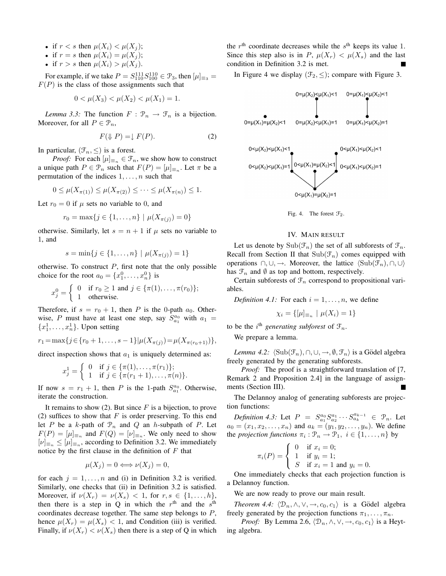- if  $r < s$  then  $\mu(X_i) < \mu(X_i)$ ;
- if  $r = s$  then  $\mu(X_i) = \mu(X_i);$
- if  $r > s$  then  $\mu(X_i) > \mu(X_j)$ .

For example, if we take  $P = S_{111}^{111} S_{100}^{110} \in \mathcal{P}_3$ , then  $[\mu]_{\equiv_3} = (P)$  is the class of those assignments such that  $F(P)$  is the class of those assignments such that

$$
0 < \mu(X_3) < \mu(X_2) < \mu(X_1) = 1.
$$

*Lemma 3.3:* The function  $F : \mathcal{P}_n \to \mathcal{F}_n$  is a bijection. Moreover, for all  $P \in \mathcal{P}_n$ ,

$$
F(\downarrow P) = \downarrow F(P). \tag{2}
$$

In particular,  $(\mathcal{F}_n, \leq)$  is a forest.

*Proof:* For each  $[\mu]_{\equiv n} \in \mathcal{F}_n$ , we show how to construct a unique path  $P \in \mathcal{P}_n$  such that  $F(P)=[\mu]_{\equiv_n}$ . Let  $\pi$  be a permutation of the indices  $1, \ldots, n$  such that

$$
0 \le \mu(X_{\pi(1)}) \le \mu(X_{\pi(2)}) \le \cdots \le \mu(X_{\pi(n)}) \le 1.
$$

Let  $r_0 = 0$  if  $\mu$  sets no variable to 0, and

$$
r_0 = \max\{j \in \{1, ..., n\} \mid \mu(X_{\pi(j)}) = 0\}
$$

otherwise. Similarly, let  $s = n + 1$  if  $\mu$  sets no variable to 1, and

$$
s = \min\{j \in \{1, ..., n\} \mid \mu(X_{\pi(j)}) = 1\}
$$

otherwise. To construct  $P$ , first note that the only possible choice for the root  $a_0 = \{x_1^0, \ldots, x_n^0\}$  is

$$
x_j^0 = \begin{cases} 0 & \text{if } r_0 \ge 1 \text{ and } j \in \{\pi(1), \dots, \pi(r_0)\}; \\ 1 & \text{otherwise.} \end{cases}
$$

Therefore, if  $s = r_0 + 1$ , then P is the 0-path  $a_0$ . Otherwise, P must have at least one step, say  $S_{a_1}^{a_0}$  with  $a_1 =$  ${x_1^1, \ldots, x_n^1}$ . Upon setting

$$
r_1 = \max\{j \in \{r_0 + 1, \ldots, s - 1\} | \mu(X_{\pi(j)}) = \mu(X_{\pi(r_0+1)})\},\,
$$

direct inspection shows that  $a_1$  is uniquely determined as:

$$
x_j^1 = \begin{cases} 0 & \text{if } j \in \{\pi(1), \dots, \pi(r_1)\}; \\ 1 & \text{if } j \in \{\pi(r_1+1), \dots, \pi(n)\}. \end{cases}
$$

If now  $s = r_1 + 1$ , then P is the 1-path  $S_{a_1}^{a_0}$ . Otherwise, iterate the construction.

It remains to show (2). But since  $F$  is a bijection, to prove (2) suffices to show that  $F$  is order preserving. To this end let  $P$  be a k-path of  $\mathcal{P}_n$  and  $Q$  an h-subpath of  $P$ . Let  $F(P)=[\mu]_{\equiv n}$  and  $F(Q)=[\nu]_{\equiv n}$ . We only need to show  $[\nu]_{\equiv n} \leq [\mu]_{\equiv n}$ , according to Definition 3.2. We immediately notice by the first clause in the definition of  $F$  that

$$
\mu(X_j) = 0 \Longleftrightarrow \nu(X_j) = 0,
$$

for each  $j = 1, \ldots, n$  and (i) in Definition 3.2 is verified. Similarly, one checks that (ii) in Definition 3.2 is satisfied. Moreover, if  $\nu(X_r) = \nu(X_s) < 1$ , for  $r, s \in \{1, \ldots, h\}$ , then there is a step in Q in which the  $r<sup>th</sup>$  and the  $s<sup>th</sup>$ coordinates decrease together. The same step belongs to P, hence  $\mu(X_r) = \mu(X_s) < 1$ , and Condition (iii) is verified. Finally, if  $\nu(X_r) < \nu(X_s)$  then there is a step of Q in which the  $r<sup>th</sup>$  coordinate decreases while the  $s<sup>th</sup>$  keeps its value 1. Since this step also is in  $P$ ,  $\mu(X_r) < \mu(X_s)$  and the last condition in Definition 3.2 is met.

In Figure 4 we display  $(\mathcal{F}_2, \leq)$ ; compare with Figure 3.





## IV. MAIN RESULT

Let us denote by  $\text{Sub}(\mathcal{F}_n)$  the set of all subforests of  $\mathcal{F}_n$ . Recall from Section II that  $\text{Sub}(\mathcal{F}_n)$  comes equipped with operations  $\cap$ , ∪, →. Moreover, the lattice  $\langle \text{Sub}(\mathcal{F}_n), \cap, \cup \rangle$ has  $\mathcal{F}_n$  and  $\emptyset$  as top and bottom, respectively.

Certain subforests of  $\mathcal{F}_n$  correspond to propositional variables.

*Definition 4.1:* For each  $i = 1, \ldots, n$ , we define

$$
\chi_i = \{ [\mu]_{\equiv_n} \mid \mu(X_i) = 1 \}
$$

to be the *i*<sup>th</sup> *generating subforest* of  $\mathcal{F}_n$ .

We prepare a lemma.

*Lemma 4.2*:  $\langle \text{Sub}(\mathcal{F}_n), \cap, \cup, \to, \emptyset, \mathcal{F}_n \rangle$  is a Gödel algebra freely generated by the generating subforests.

*Proof:* The proof is a straightforward translation of [7, Remark 2 and Proposition 2.4] in the language of assignments (Section III).

The Delannoy analog of generating subforests are projection functions:

*Definition 4.3:* Let  $P = S_{a_0}^{a_0} S_{a_1}^{a_1} \cdots S_{a_k}^{a_{k-1}} \in \mathcal{P}_n$ . Let  $P = (x, x_0, x_1)$  and  $a_1 = (a_1, a_2, a_3)$ . We define  $a_0 = (x_1, x_2, \dots, x_n)$  and  $a_k = (y_1, y_2, \dots, y_n)$ . We define<br>the projection functions  $\pi : \mathcal{P} \to \mathcal{P}$ ,  $i \in \{1, \dots, n\}$  by the *projection functions*  $\pi_i : \mathcal{P}_n \to \mathcal{P}_1, i \in \{1, \ldots, n\}$  by

$$
\pi_i(P) = \begin{cases} 0 & \text{if } x_i = 0; \\ 1 & \text{if } y_i = 1; \\ S & \text{if } x_i = 1 \text{ and } y_i = 1 \end{cases}
$$

 $\int S$  if  $x_i = 1$  and  $y_i = 0$ .<br>One immediately checks that each projection function is a Delannoy function.

We are now ready to prove our main result.

*Theorem 4.4:*  $\langle \mathcal{D}_n, \wedge, \vee, \to, c_0, c_1 \rangle$  is a Gödel algebra freely generated by the projection functions  $\pi_1, \ldots, \pi_n$ .

*Proof:* By Lemma 2.6,  $\langle \mathcal{D}_n, \wedge, \vee, \to, c_0, c_1 \rangle$  is a Heyting algebra.